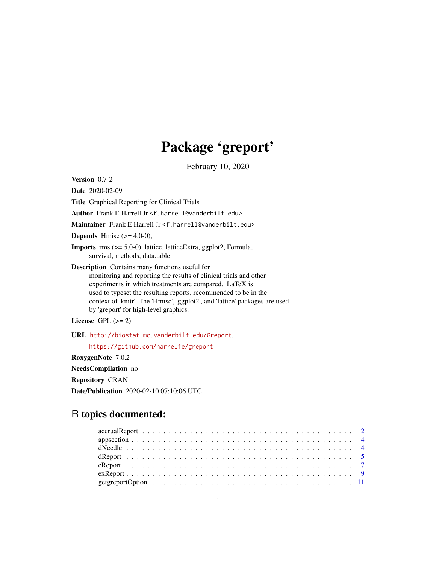# Package 'greport'

February 10, 2020

<span id="page-0-0"></span>Version 0.7-2

Date 2020-02-09

Title Graphical Reporting for Clinical Trials

Author Frank E Harrell Jr <f.harrell@vanderbilt.edu>

Maintainer Frank E Harrell Jr <f.harrell@vanderbilt.edu>

**Depends** Hmisc  $(>= 4.0-0)$ ,

Imports rms (>= 5.0-0), lattice, latticeExtra, ggplot2, Formula, survival, methods, data.table

Description Contains many functions useful for monitoring and reporting the results of clinical trials and other experiments in which treatments are compared. LaTeX is used to typeset the resulting reports, recommended to be in the context of 'knitr'. The 'Hmisc', 'ggplot2', and 'lattice' packages are used by 'greport' for high-level graphics.

License GPL  $(>= 2)$ 

URL <http://biostat.mc.vanderbilt.edu/Greport>,

<https://github.com/harrelfe/greport>

RoxygenNote 7.0.2

NeedsCompilation no

Repository CRAN

Date/Publication 2020-02-10 07:10:06 UTC

# R topics documented: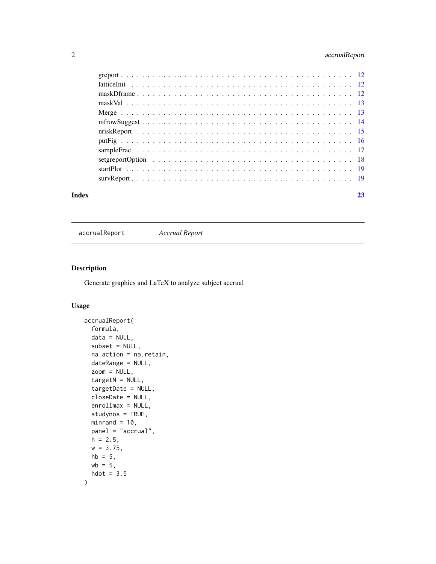#### <span id="page-1-0"></span>2 accrualReport

| Index | 23 |
|-------|----|
|       |    |
|       |    |
|       |    |
|       |    |
|       |    |
|       |    |
|       |    |
|       |    |
|       |    |
|       |    |
|       |    |
|       |    |

accrualReport *Accrual Report*

#### Description

Generate graphics and LaTeX to analyze subject accrual

### Usage

```
accrualReport(
  formula,
 data = NULL,
  subset = NULL,
 na.action = na.retain,
 dateRange = NULL,
  zoom = NULL,
  targetN = NULL,targetDate = NULL,
  closeDate = NULL,
  enrollmax = NULL,
  studynos = TRUE,
 minrand = 10,
 panel = "accrual",
 h = 2.5,
 w = 3.75,
 hb = 5,
 wb = 5,
 hdot = 3.5\mathcal{L}
```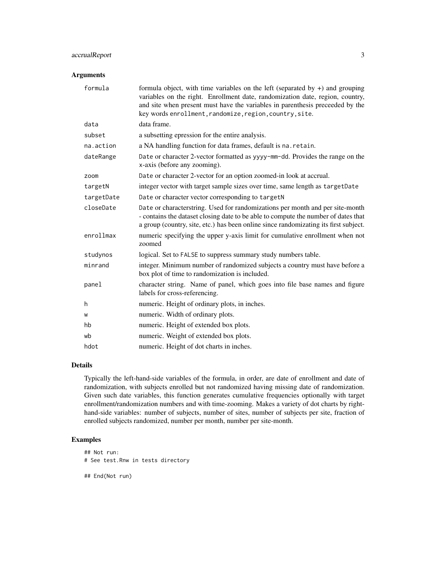#### accrualReport 3

#### Arguments

| formula    | formula object, with time variables on the left (separated by $+$ ) and grouping<br>variables on the right. Enrollment date, randomization date, region, country,<br>and site when present must have the variables in parenthesis preceeded by the<br>key words enrollment, randomize, region, country, site. |
|------------|---------------------------------------------------------------------------------------------------------------------------------------------------------------------------------------------------------------------------------------------------------------------------------------------------------------|
| data       | data frame.                                                                                                                                                                                                                                                                                                   |
| subset     | a subsetting epression for the entire analysis.                                                                                                                                                                                                                                                               |
| na.action  | a NA handling function for data frames, default is na. retain.                                                                                                                                                                                                                                                |
| dateRange  | Date or character 2-vector formatted as yyyy-mm-dd. Provides the range on the<br>x-axis (before any zooming).                                                                                                                                                                                                 |
| zoom       | Date or character 2-vector for an option zoomed-in look at accrual.                                                                                                                                                                                                                                           |
| targetN    | integer vector with target sample sizes over time, same length as targetDate                                                                                                                                                                                                                                  |
| targetDate | Date or character vector corresponding to targetN                                                                                                                                                                                                                                                             |
| closeDate  | Date or characterstring. Used for randomizations per month and per site-month<br>- contains the dataset closing date to be able to compute the number of dates that<br>a group (country, site, etc.) has been online since randomizating its first subject.                                                   |
| enrollmax  | numeric specifying the upper y-axis limit for cumulative enrollment when not<br>zoomed                                                                                                                                                                                                                        |
| studynos   | logical. Set to FALSE to suppress summary study numbers table.                                                                                                                                                                                                                                                |
| minrand    | integer. Minimum number of randomized subjects a country must have before a<br>box plot of time to randomization is included.                                                                                                                                                                                 |
| panel      | character string. Name of panel, which goes into file base names and figure<br>labels for cross-referencing.                                                                                                                                                                                                  |
| h          | numeric. Height of ordinary plots, in inches.                                                                                                                                                                                                                                                                 |
| W          | numeric. Width of ordinary plots.                                                                                                                                                                                                                                                                             |
| hb         | numeric. Height of extended box plots.                                                                                                                                                                                                                                                                        |
| wb         | numeric. Weight of extended box plots.                                                                                                                                                                                                                                                                        |
| hdot       | numeric. Height of dot charts in inches.                                                                                                                                                                                                                                                                      |

#### Details

Typically the left-hand-side variables of the formula, in order, are date of enrollment and date of randomization, with subjects enrolled but not randomized having missing date of randomization. Given such date variables, this function generates cumulative frequencies optionally with target enrollment/randomization numbers and with time-zooming. Makes a variety of dot charts by righthand-side variables: number of subjects, number of sites, number of subjects per site, fraction of enrolled subjects randomized, number per month, number per site-month.

#### Examples

## Not run: # See test.Rnw in tests directory ## End(Not run)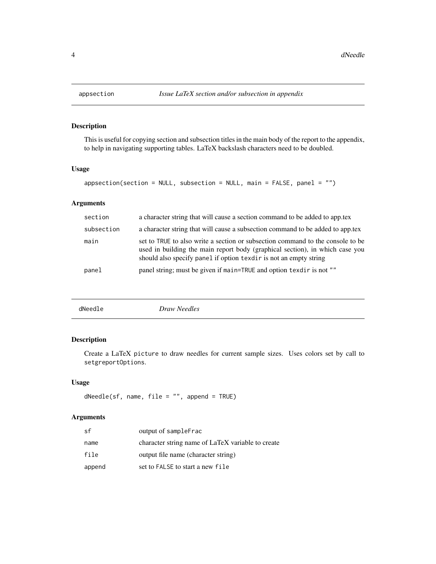This is useful for copying section and subsection titles in the main body of the report to the appendix, to help in navigating supporting tables. LaTeX backslash characters need to be doubled.

#### Usage

```
appsection(section = NULL, subsection = NULL, main = FALSE, panel = "")
```
#### Arguments

| section    | a character string that will cause a section command to be added to app.tex                                                                                                                                                         |
|------------|-------------------------------------------------------------------------------------------------------------------------------------------------------------------------------------------------------------------------------------|
| subsection | a character string that will cause a subsection command to be added to app.tex                                                                                                                                                      |
| main       | set to TRUE to also write a section or subsection command to the console to be<br>used in building the main report body (graphical section), in which case you<br>should also specify panel if option texdir is not an empty string |
| panel      | panel string; must be given if main=TRUE and option texdir is not ""                                                                                                                                                                |
|            |                                                                                                                                                                                                                                     |

#### Description

Create a LaTeX picture to draw needles for current sample sizes. Uses colors set by call to setgreportOptions.

#### Usage

dNeedle(sf, name, file = "", append = TRUE)

| sf     | output of sampleFrac                              |
|--------|---------------------------------------------------|
| name   | character string name of LaTeX variable to create |
| file   | output file name (character string)               |
| append | set to FALSE to start a new file                  |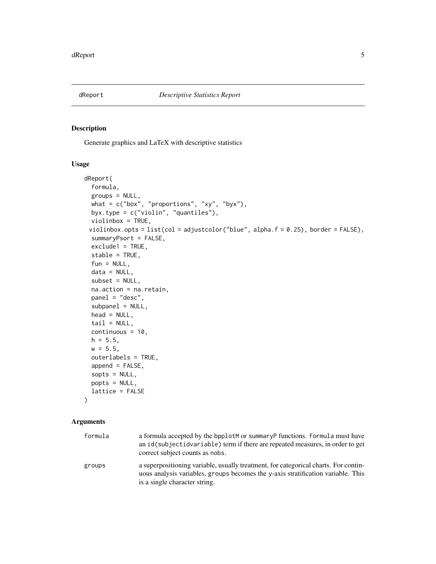<span id="page-4-0"></span>

Generate graphics and LaTeX with descriptive statistics

#### Usage

```
dReport(
  formula,
  groups = NULL,
 what = c("box", "proportions", "xy", "byx"),byx.type = c("violin", "quantiles"),
 violinbox = TRUE,
 violinbox.opts = list(col = adjustcolor("blue", alpha.f = 0.25), border = FALSE),
  summaryPsort = FALSE,
 exclude1 = TRUE,stable = TRUE,
 fun = NULL,data = NULL,subset = NULL,na.action = na.retain,
 panel = "desc",
  subpanel = NULL,head = NULL,tail = NULL,continuous = 10,
 h = 5.5,
 w = 5.5,
 outerlabels = TRUE,
  append = FALSE,sopts = NULL,popts = NULL,
  lattice = FALSE
)
```

| formula | a formula accepted by the bpplotM or summary P functions. formula must have<br>an id(subjectidvariable) term if there are repeated measures, in order to get<br>correct subject counts as nobs.          |
|---------|----------------------------------------------------------------------------------------------------------------------------------------------------------------------------------------------------------|
| groups  | a superpositioning variable, usually treatment, for categorical charts. For contin-<br>uous analysis variables, groups becomes the y-axis stratification variable. This<br>is a single character string. |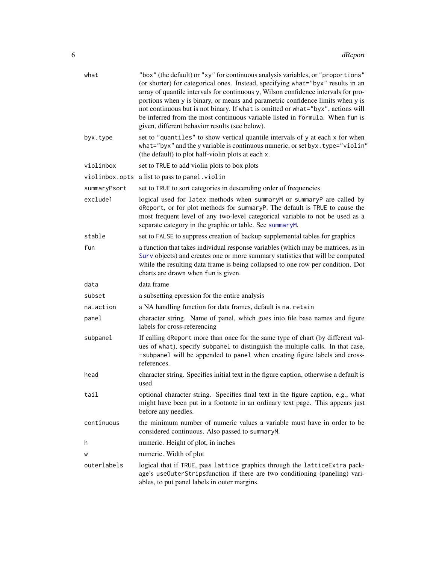<span id="page-5-0"></span>

| what           | "box" (the default) or "xy" for continuous analysis variables, or "proportions"<br>(or shorter) for categorical ones. Instead, specifying what="byx" results in an<br>array of quantile intervals for continuous y, Wilson confidence intervals for pro-<br>portions when y is binary, or means and parametric confidence limits when y is<br>not continuous but is not binary. If what is omitted or what="byx", actions will<br>be inferred from the most continuous variable listed in formula. When fun is<br>given, different behavior results (see below). |
|----------------|------------------------------------------------------------------------------------------------------------------------------------------------------------------------------------------------------------------------------------------------------------------------------------------------------------------------------------------------------------------------------------------------------------------------------------------------------------------------------------------------------------------------------------------------------------------|
| byx.type       | set to "quantiles" to show vertical quantile intervals of y at each x for when<br>what="byx" and the y variable is continuous numeric, or set byx.type="violin"<br>(the default) to plot half-violin plots at each x.                                                                                                                                                                                                                                                                                                                                            |
| violinbox      | set to TRUE to add violin plots to box plots                                                                                                                                                                                                                                                                                                                                                                                                                                                                                                                     |
| violinbox.opts | a list to pass to panel. violin                                                                                                                                                                                                                                                                                                                                                                                                                                                                                                                                  |
| summaryPsort   | set to TRUE to sort categories in descending order of frequencies                                                                                                                                                                                                                                                                                                                                                                                                                                                                                                |
| exclude1       | logical used for latex methods when summaryM or summaryP are called by<br>dReport, or for plot methods for summaryP. The default is TRUE to cause the<br>most frequent level of any two-level categorical variable to not be used as a<br>separate category in the graphic or table. See summaryM.                                                                                                                                                                                                                                                               |
| stable         | set to FALSE to suppress creation of backup supplemental tables for graphics                                                                                                                                                                                                                                                                                                                                                                                                                                                                                     |
| fun            | a function that takes individual response variables (which may be matrices, as in<br>Surv objects) and creates one or more summary statistics that will be computed<br>while the resulting data frame is being collapsed to one row per condition. Dot<br>charts are drawn when fun is given.                                                                                                                                                                                                                                                                    |
| data           | data frame                                                                                                                                                                                                                                                                                                                                                                                                                                                                                                                                                       |
| subset         | a subsetting epression for the entire analysis                                                                                                                                                                                                                                                                                                                                                                                                                                                                                                                   |
| na.action      | a NA handling function for data frames, default is na. retain                                                                                                                                                                                                                                                                                                                                                                                                                                                                                                    |
| panel          | character string. Name of panel, which goes into file base names and figure<br>labels for cross-referencing                                                                                                                                                                                                                                                                                                                                                                                                                                                      |
| subpanel       | If calling dReport more than once for the same type of chart (by different val-<br>ues of what), specify subpanel to distinguish the multiple calls. In that case,<br>-subpanel will be appended to panel when creating figure labels and cross-<br>references.                                                                                                                                                                                                                                                                                                  |
| head           | character string. Specifies initial text in the figure caption, otherwise a default is<br>used                                                                                                                                                                                                                                                                                                                                                                                                                                                                   |
| tail           | optional character string. Specifies final text in the figure caption, e.g., what<br>might have been put in a footnote in an ordinary text page. This appears just<br>before any needles.                                                                                                                                                                                                                                                                                                                                                                        |
| continuous     | the minimum number of numeric values a variable must have in order to be<br>considered continuous. Also passed to summaryM.                                                                                                                                                                                                                                                                                                                                                                                                                                      |
| h              | numeric. Height of plot, in inches                                                                                                                                                                                                                                                                                                                                                                                                                                                                                                                               |
| W              | numeric. Width of plot                                                                                                                                                                                                                                                                                                                                                                                                                                                                                                                                           |
| outerlabels    | logical that if TRUE, pass lattice graphics through the latticeExtra pack-<br>age's useOuterStripsfunction if there are two conditioning (paneling) vari-<br>ables, to put panel labels in outer margins.                                                                                                                                                                                                                                                                                                                                                        |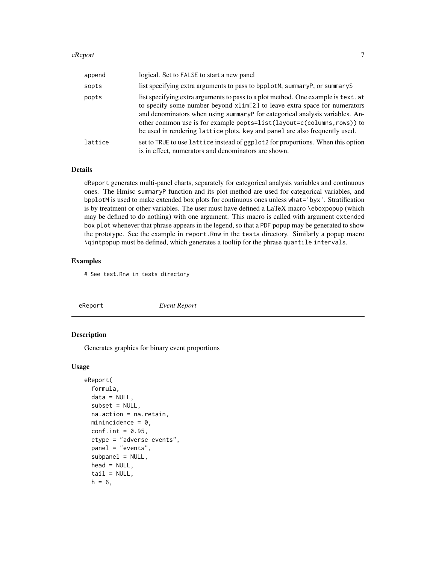#### <span id="page-6-0"></span>eReport 2008 and 2008 and 2008 and 2008 and 2008 and 2008 and 2008 and 2008 and 2008 and 2008 and 2008 and 200

| append  | logical. Set to FALSE to start a new panel                                                                                                                                                                                                                                                                                                                                                              |
|---------|---------------------------------------------------------------------------------------------------------------------------------------------------------------------------------------------------------------------------------------------------------------------------------------------------------------------------------------------------------------------------------------------------------|
| sopts   | list specifying extra arguments to pass to bpplotM, summaryP, or summaryS                                                                                                                                                                                                                                                                                                                               |
| popts   | list specifying extra arguments to pass to a plot method. One example is text. at<br>to specify some number beyond xlim[2] to leave extra space for numerators<br>and denominators when using summaryP for categorical analysis variables. An-<br>other common use is for example popts=list(layout=c(columns, rows)) to<br>be used in rendering lattice plots. key and panel are also frequently used. |
| lattice | set to TRUE to use lattice instead of ggplot2 for proportions. When this option<br>is in effect, numerators and denominators are shown.                                                                                                                                                                                                                                                                 |

#### Details

dReport generates multi-panel charts, separately for categorical analysis variables and continuous ones. The Hmisc summaryP function and its plot method are used for categorical variables, and bpplotM is used to make extended box plots for continuous ones unless what='byx'. Stratification is by treatment or other variables. The user must have defined a LaTeX macro \eboxpopup (which may be defined to do nothing) with one argument. This macro is called with argument extended box plot whenever that phrase appears in the legend, so that a PDF popup may be generated to show the prototype. See the example in report.Rnw in the tests directory. Similarly a popup macro \qintpopup must be defined, which generates a tooltip for the phrase quantile intervals.

#### Examples

# See test.Rnw in tests directory

| eReport | <b>Event Report</b> |
|---------|---------------------|
|         |                     |

#### Description

Generates graphics for binary event proportions

#### Usage

```
eReport(
  formula,
  data = NULL,
  subset = NULL,na.action = na.retain,
 minincidence = 0,
  conf.int = 0.95,
  etype = "adverse events",
  panel = "events",
  subpanel = NULL,head = NULL,tail = NULL,h = 6,
```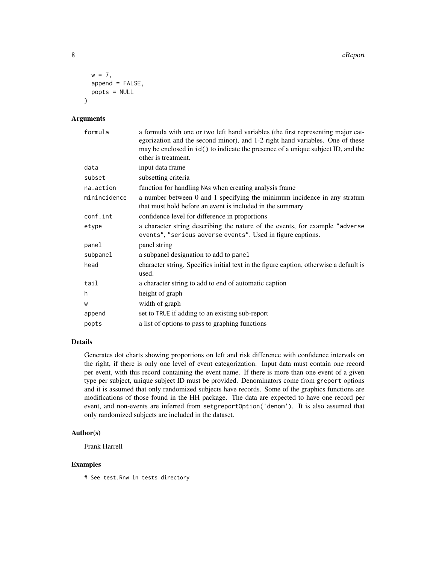```
w = 7,
  append = FALSE,popts = NULL
\mathcal{L}
```
#### Arguments

| formula      | a formula with one or two left hand variables (the first representing major cat-<br>egorization and the second minor), and 1-2 right hand variables. One of these<br>may be enclosed in $id()$ to indicate the presence of a unique subject ID, and the<br>other is treatment. |
|--------------|--------------------------------------------------------------------------------------------------------------------------------------------------------------------------------------------------------------------------------------------------------------------------------|
| data         | input data frame                                                                                                                                                                                                                                                               |
| subset       | subsetting criteria                                                                                                                                                                                                                                                            |
| na.action    | function for handling NAs when creating analysis frame                                                                                                                                                                                                                         |
| minincidence | a number between 0 and 1 specifying the minimum incidence in any stratum<br>that must hold before an event is included in the summary                                                                                                                                          |
| conf.int     | confidence level for difference in proportions                                                                                                                                                                                                                                 |
| etype        | a character string describing the nature of the events, for example "adverse"<br>events", "serious adverse events". Used in figure captions.                                                                                                                                   |
| panel        | panel string                                                                                                                                                                                                                                                                   |
| subpanel     | a subpanel designation to add to panel                                                                                                                                                                                                                                         |
| head         | character string. Specifies initial text in the figure caption, otherwise a default is<br>used.                                                                                                                                                                                |
| tail         | a character string to add to end of automatic caption                                                                                                                                                                                                                          |
| h.           | height of graph                                                                                                                                                                                                                                                                |
| W            | width of graph                                                                                                                                                                                                                                                                 |
| append       | set to TRUE if adding to an existing sub-report                                                                                                                                                                                                                                |
| popts        | a list of options to pass to graphing functions                                                                                                                                                                                                                                |

#### Details

Generates dot charts showing proportions on left and risk difference with confidence intervals on the right, if there is only one level of event categorization. Input data must contain one record per event, with this record containing the event name. If there is more than one event of a given type per subject, unique subject ID must be provided. Denominators come from greport options and it is assumed that only randomized subjects have records. Some of the graphics functions are modifications of those found in the HH package. The data are expected to have one record per event, and non-events are inferred from setgreportOption('denom'). It is also assumed that only randomized subjects are included in the dataset.

#### Author(s)

Frank Harrell

#### Examples

# See test.Rnw in tests directory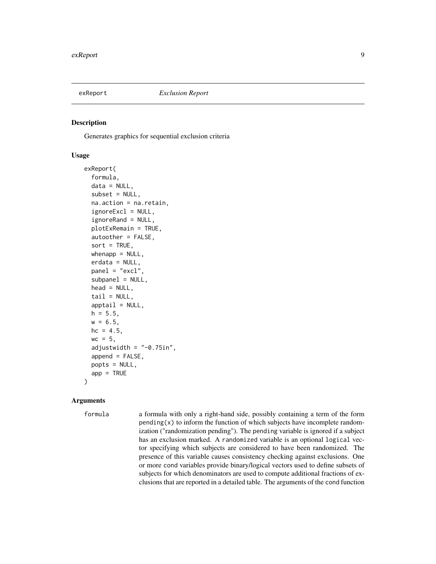<span id="page-8-0"></span>

Generates graphics for sequential exclusion criteria

#### Usage

```
exReport(
  formula,
  data = NULL,subset = NULL,na.action = na.retain,
  ignoreExcl = NULL,
  ignoreRand = NULL,
  plotExRemain = TRUE,
  autoother = FALSE,
  sort = TRUE,whenapp = NULL,erdata = NULL,
  panel = "excl",subpanel = NULL,
  head = NULL,tail = NULL,apptail = NULL,h = 5.5,
  w = 6.5,
  hc = 4.5,
 wc = 5,
  adjustwidth = "-0.75in",
  append = FALSE,popts = NULL,
  app = TRUE)
```
#### Arguments

formula a formula with only a right-hand side, possibly containing a term of the form  $pending(x)$  to inform the function of which subjects have incomplete randomization ("randomization pending"). The pending variable is ignored if a subject has an exclusion marked. A randomized variable is an optional logical vector specifying which subjects are considered to have been randomized. The presence of this variable causes consistency checking against exclusions. One or more cond variables provide binary/logical vectors used to define subsets of subjects for which denominators are used to compute additional fractions of exclusions that are reported in a detailed table. The arguments of the cond function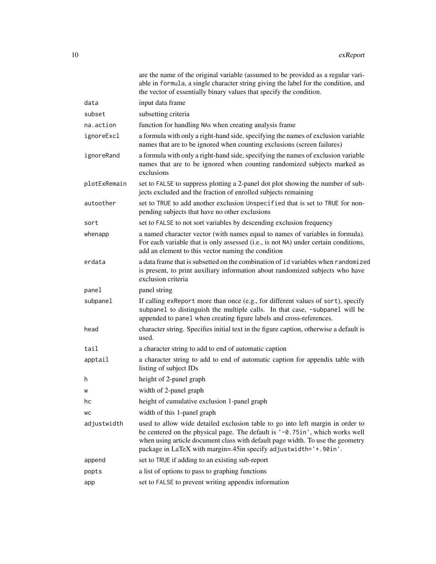|              | are the name of the original variable (assumed to be provided as a regular vari-<br>able in formula, a single character string giving the label for the condition, and<br>the vector of essentially binary values that specify the condition.                                                                           |
|--------------|-------------------------------------------------------------------------------------------------------------------------------------------------------------------------------------------------------------------------------------------------------------------------------------------------------------------------|
| data         | input data frame                                                                                                                                                                                                                                                                                                        |
| subset       | subsetting criteria                                                                                                                                                                                                                                                                                                     |
| na.action    | function for handling NAs when creating analysis frame                                                                                                                                                                                                                                                                  |
| ignoreExcl   | a formula with only a right-hand side, specifying the names of exclusion variable<br>names that are to be ignored when counting exclusions (screen failures)                                                                                                                                                            |
| ignoreRand   | a formula with only a right-hand side, specifying the names of exclusion variable<br>names that are to be ignored when counting randomized subjects marked as<br>exclusions                                                                                                                                             |
| plotExRemain | set to FALSE to suppress plotting a 2-panel dot plot showing the number of sub-<br>jects excluded and the fraction of enrolled subjects remaining                                                                                                                                                                       |
| autoother    | set to TRUE to add another exclusion Unspecified that is set to TRUE for non-<br>pending subjects that have no other exclusions                                                                                                                                                                                         |
| sort         | set to FALSE to not sort variables by descending exclusion frequency                                                                                                                                                                                                                                                    |
| whenapp      | a named character vector (with names equal to names of variables in formula).<br>For each variable that is only assessed (i.e., is not NA) under certain conditions,<br>add an element to this vector naming the condition                                                                                              |
| erdata       | a data frame that is subsetted on the combination of id variables when randomized<br>is present, to print auxiliary information about randomized subjects who have<br>exclusion criteria                                                                                                                                |
| panel        | panel string                                                                                                                                                                                                                                                                                                            |
| subpanel     | If calling exReport more than once (e.g., for different values of sort), specify<br>subpanel to distinguish the multiple calls. In that case, -subpanel will be<br>appended to panel when creating figure labels and cross-references.                                                                                  |
| head         | character string. Specifies initial text in the figure caption, otherwise a default is<br>used.                                                                                                                                                                                                                         |
| tail         | a character string to add to end of automatic caption                                                                                                                                                                                                                                                                   |
| apptail      | a character string to add to end of automatic caption for appendix table with<br>listing of subject IDs                                                                                                                                                                                                                 |
| h            | height of 2-panel graph                                                                                                                                                                                                                                                                                                 |
| w            | width of 2-panel graph                                                                                                                                                                                                                                                                                                  |
| hc           | height of cumulative exclusion 1-panel graph                                                                                                                                                                                                                                                                            |
| WC           | width of this 1-panel graph                                                                                                                                                                                                                                                                                             |
| adjustwidth  | used to allow wide detailed exclusion table to go into left margin in order to<br>be centered on the physical page. The default is $'-0.75$ in', which works well<br>when using article document class with default page width. To use the geometry<br>package in LaTeX with margin=.45in specify adjustwidth='+.90in'. |
| append       | set to TRUE if adding to an existing sub-report                                                                                                                                                                                                                                                                         |
| popts        | a list of options to pass to graphing functions                                                                                                                                                                                                                                                                         |
| app          | set to FALSE to prevent writing appendix information                                                                                                                                                                                                                                                                    |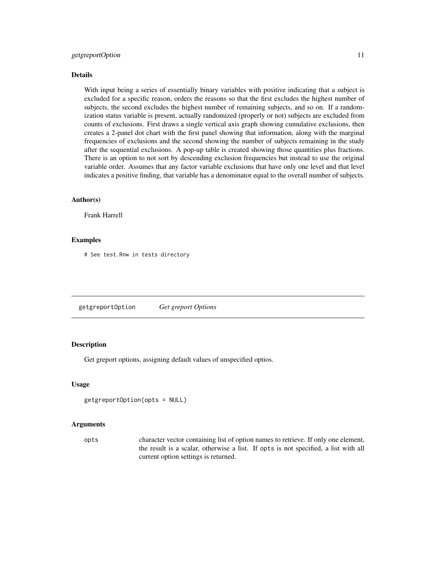#### <span id="page-10-0"></span>getgreportOption 11

#### Details

With input being a series of essentially binary variables with positive indicating that a subject is excluded for a specific reason, orders the reasons so that the first excludes the highest number of subjects, the second excludes the highest number of remaining subjects, and so on. If a randomization status variable is present, actually randomized (properly or not) subjects are excluded from counts of exclusions. First draws a single vertical axis graph showing cumulative exclusions, then creates a 2-panel dot chart with the first panel showing that information, along with the marginal frequencies of exclusions and the second showing the number of subjects remaining in the study after the sequential exclusions. A pop-up table is created showing those quantities plus fractions. There is an option to not sort by descending exclusion frequencies but instead to use the original variable order. Assumes that any factor variable exclusions that have only one level and that level indicates a positive finding, that variable has a denominator equal to the overall number of subjects.

#### Author(s)

Frank Harrell

#### Examples

# See test.Rnw in tests directory

getgreportOption *Get greport Options*

#### **Description**

Get greport options, assigning default values of unspecified optios.

#### Usage

```
getgreportOption(opts = NULL)
```
#### Arguments

opts character vector containing list of option names to retrieve. If only one element, the result is a scalar, otherwise a list. If opts is not specified, a list with all current option settings is returned.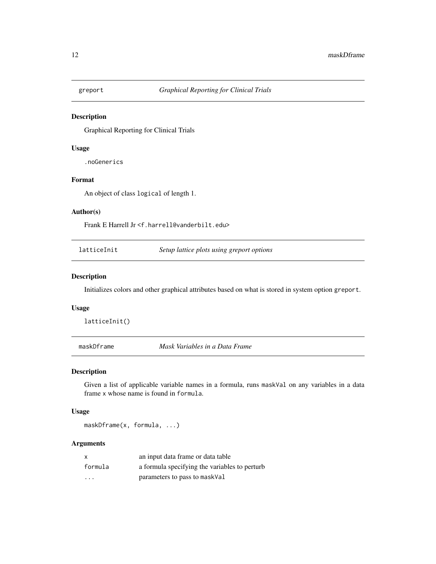<span id="page-11-0"></span>

Graphical Reporting for Clinical Trials

#### Usage

.noGenerics

#### Format

An object of class logical of length 1.

#### Author(s)

Frank E Harrell Jr <f.harrell@vanderbilt.edu>

latticeInit *Setup lattice plots using greport options*

#### Description

Initializes colors and other graphical attributes based on what is stored in system option greport.

#### Usage

latticeInit()

maskDframe *Mask Variables in a Data Frame*

#### Description

Given a list of applicable variable names in a formula, runs maskVal on any variables in a data frame x whose name is found in formula.

#### Usage

maskDframe(x, formula, ...)

| X                       | an input data frame or data table             |  |
|-------------------------|-----------------------------------------------|--|
| formula                 | a formula specifying the variables to perturb |  |
| $\cdot$ $\cdot$ $\cdot$ | parameters to pass to maskVal                 |  |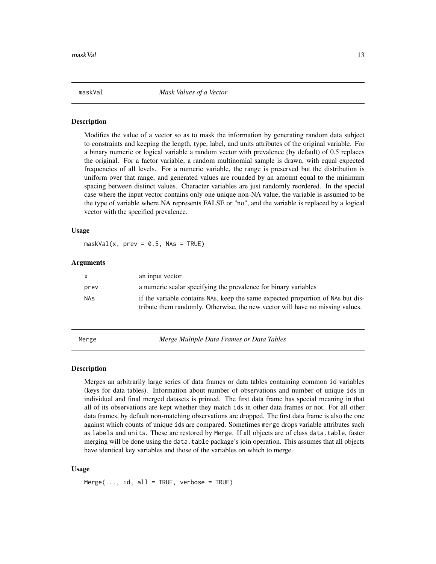<span id="page-12-0"></span>maskVal *Mask Values of a Vector*

#### Description

Modifies the value of a vector so as to mask the information by generating random data subject to constraints and keeping the length, type, label, and units attributes of the original variable. For a binary numeric or logical variable a random vector with prevalence (by default) of 0.5 replaces the original. For a factor variable, a random multinomial sample is drawn, with equal expected frequencies of all levels. For a numeric variable, the range is preserved but the distribution is uniform over that range, and generated values are rounded by an amount equal to the minimum spacing between distinct values. Character variables are just randomly reordered. In the special case where the input vector contains only one unique non-NA value, the variable is assumed to be the type of variable where NA represents FALSE or "no", and the variable is replaced by a logical vector with the specified prevalence.

#### Usage

 $maskVal(x, prev = 0.5, NAS = TRUE)$ 

#### Arguments

| $\mathsf{x}$ | an input vector                                                                                                                                                  |
|--------------|------------------------------------------------------------------------------------------------------------------------------------------------------------------|
| prev         | a numeric scalar specifying the prevalence for binary variables                                                                                                  |
| NAs          | if the variable contains NAs, keep the same expected proportion of NAs but dis-<br>tribute them randomly. Otherwise, the new vector will have no missing values. |

Merge *Merge Multiple Data Frames or Data Tables*

#### Description

Merges an arbitrarily large series of data frames or data tables containing common id variables (keys for data tables). Information about number of observations and number of unique ids in individual and final merged datasets is printed. The first data frame has special meaning in that all of its observations are kept whether they match ids in other data frames or not. For all other data frames, by default non-matching observations are dropped. The first data frame is also the one against which counts of unique ids are compared. Sometimes merge drops variable attributes such as labels and units. These are restored by Merge. If all objects are of class data.table, faster merging will be done using the data.table package's join operation. This assumes that all objects have identical key variables and those of the variables on which to merge.

#### Usage

 $Merge(..., id, all = TRUE, verbose = TRUE)$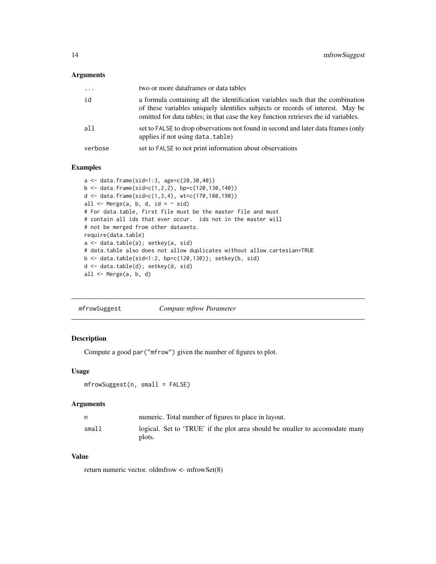#### <span id="page-13-0"></span>Arguments

| $\cdots$ | two or more dataframes or data tables                                                                                                                                                                                                                   |
|----------|---------------------------------------------------------------------------------------------------------------------------------------------------------------------------------------------------------------------------------------------------------|
| id       | a formula containing all the identification variables such that the combination<br>of these variables uniquely identifies subjects or records of interest. May be<br>omitted for data tables; in that case the key function retrieves the id variables. |
| all      | set to FALSE to drop observations not found in second and later data frames (only<br>applies if not using data, table)                                                                                                                                  |
| verbose  | set to FALSE to not print information about observations                                                                                                                                                                                                |

#### Examples

```
a <- data.frame(sid=1:3, age=c(20,30,40))
b \leq data.frame(sid=c(1,2,2), bp=c(120,130,140))
d <- data.frame(sid=c(1,3,4), wt=c(170,180,190))
all \leq Merge(a, b, d, id = \sim sid)
# For data.table, first file must be the master file and must
# contain all ids that ever occur. ids not in the master will
# not be merged from other datasets.
require(data.table)
a <- data.table(a); setkey(a, sid)
# data.table also does not allow duplicates without allow.cartesian=TRUE
b <- data.table(sid=1:2, bp=c(120,130)); setkey(b, sid)
d <- data.table(d); setkey(d, sid)
all <- Merge(a, b, d)
```

| mfrowSuggest | Compute mfrow Parameter |
|--------------|-------------------------|
|              |                         |

#### Description

Compute a good par("mfrow") given the number of figures to plot.

#### Usage

```
mfrowSuggest(n, small = FALSE)
```
#### Arguments

|       | numeric. Total number of figures to place in layout.                         |
|-------|------------------------------------------------------------------------------|
| small | logical. Set to 'TRUE' if the plot area should be smaller to accomodate many |
|       | plots.                                                                       |

### Value

return numeric vector. oldmfrow <- mfrowSet(8)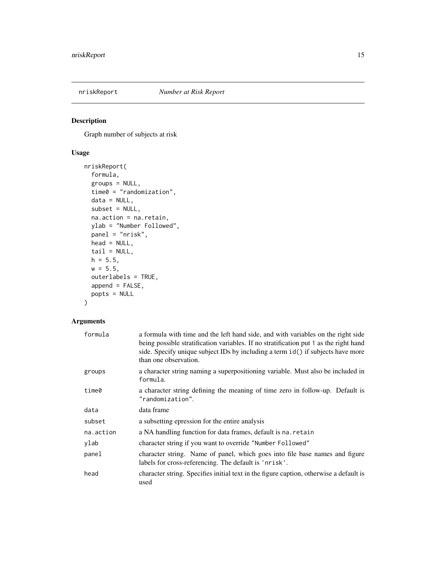<span id="page-14-0"></span>

Graph number of subjects at risk

### Usage

```
nriskReport(
  formula,
 groups = NULL,
 time0 = "randomization",
 data = NULL,subset = NULL,na.action = na.retain,
 ylab = "Number Followed",
 panel = "nrisk",
 head = NULL,tail = NULL,h = 5.5,
 w = 5.5,
 outerlabels = TRUE,
 append = FALSE,popts = NULL
)
```

| formula   | a formula with time and the left hand side, and with variables on the right side<br>being possible stratification variables. If no stratification put 1 as the right hand<br>side. Specify unique subject IDs by including a term id() if subjects have more<br>than one observation. |
|-----------|---------------------------------------------------------------------------------------------------------------------------------------------------------------------------------------------------------------------------------------------------------------------------------------|
| groups    | a character string naming a superpositioning variable. Must also be included in<br>formula.                                                                                                                                                                                           |
| time0     | a character string defining the meaning of time zero in follow-up. Default is<br>"randomization".                                                                                                                                                                                     |
| data      | data frame                                                                                                                                                                                                                                                                            |
| subset    | a subsetting epression for the entire analysis                                                                                                                                                                                                                                        |
| na.action | a NA handling function for data frames, default is na. retain                                                                                                                                                                                                                         |
| ylab      | character string if you want to override "Number Followed"                                                                                                                                                                                                                            |
| panel     | character string. Name of panel, which goes into file base names and figure<br>labels for cross-referencing. The default is 'nrisk'.                                                                                                                                                  |
| head      | character string. Specifies initial text in the figure caption, otherwise a default is<br>used                                                                                                                                                                                        |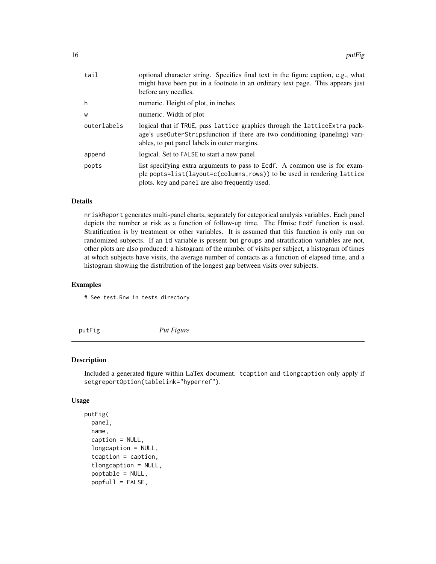<span id="page-15-0"></span>

| tail        | optional character string. Specifies final text in the figure caption, e.g., what<br>might have been put in a footnote in an ordinary text page. This appears just<br>before any needles.                  |
|-------------|------------------------------------------------------------------------------------------------------------------------------------------------------------------------------------------------------------|
| h           | numeric. Height of plot, in inches                                                                                                                                                                         |
| W           | numeric. Width of plot                                                                                                                                                                                     |
| outerlabels | logical that if TRUE, pass lattice graphics through the lattice Extra pack-<br>age's useOuterStripsfunction if there are two conditioning (paneling) vari-<br>ables, to put panel labels in outer margins. |
| append      | logical. Set to FALSE to start a new panel                                                                                                                                                                 |
| popts       | list specifying extra arguments to pass to Ecdf. A common use is for exam-<br>ple popts=list(layout=c(columns, rows)) to be used in rendering lattice<br>plots. key and panel are also frequently used.    |

#### Details

nriskReport generates multi-panel charts, separately for categorical analysis variables. Each panel depicts the number at risk as a function of follow-up time. The Hmisc Ecdf function is used. Stratification is by treatment or other variables. It is assumed that this function is only run on randomized subjects. If an id variable is present but groups and stratification variables are not, other plots are also produced: a histogram of the number of visits per subject, a histogram of times at which subjects have visits, the average number of contacts as a function of elapsed time, and a histogram showing the distribution of the longest gap between visits over subjects.

#### Examples

# See test.Rnw in tests directory

putFig *Put Figure*

#### Description

Included a generated figure within LaTex document. tcaption and tlongcaption only apply if setgreportOption(tablelink="hyperref").

#### Usage

```
putFig(
  panel,
  name,
  caption = NULL,
  longcaption = NULL,
  tcaption = caption,
  tlongcaption = NULL,
  poptable = NULL,
  popfull = FALSE,
```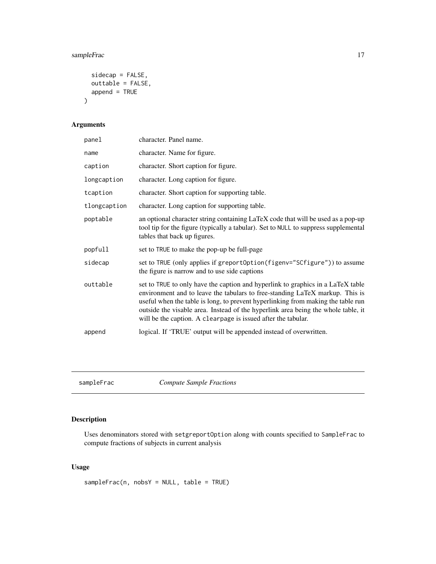#### <span id="page-16-0"></span>sampleFrac 17

```
sidecap = FALSE,
 outtable = FALSE,
 append = TRUE)
```
#### Arguments

| panel        | character. Panel name.                                                                                                                                                                                                                                                                                                                                                                                    |
|--------------|-----------------------------------------------------------------------------------------------------------------------------------------------------------------------------------------------------------------------------------------------------------------------------------------------------------------------------------------------------------------------------------------------------------|
| name         | character. Name for figure.                                                                                                                                                                                                                                                                                                                                                                               |
| caption      | character. Short caption for figure.                                                                                                                                                                                                                                                                                                                                                                      |
| longcaption  | character. Long caption for figure.                                                                                                                                                                                                                                                                                                                                                                       |
| tcaption     | character. Short caption for supporting table.                                                                                                                                                                                                                                                                                                                                                            |
| tlongcaption | character. Long caption for supporting table.                                                                                                                                                                                                                                                                                                                                                             |
| poptable     | an optional character string containing LaTeX code that will be used as a pop-up<br>tool tip for the figure (typically a tabular). Set to NULL to suppress supplemental<br>tables that back up figures.                                                                                                                                                                                                   |
| popfull      | set to TRUE to make the pop-up be full-page                                                                                                                                                                                                                                                                                                                                                               |
| sidecap      | set to TRUE (only applies if greportOption(figenv="SCfigure")) to assume<br>the figure is narrow and to use side captions                                                                                                                                                                                                                                                                                 |
| outtable     | set to TRUE to only have the caption and hyperlink to graphics in a LaTeX table<br>environment and to leave the tabulars to free-standing LaTeX markup. This is<br>useful when the table is long, to prevent hyperlinking from making the table run<br>outside the visable area. Instead of the hyperlink area being the whole table, it<br>will be the caption. A clearpage is issued after the tabular. |
| append       | logical. If 'TRUE' output will be appended instead of overwritten.                                                                                                                                                                                                                                                                                                                                        |
|              |                                                                                                                                                                                                                                                                                                                                                                                                           |

sampleFrac *Compute Sample Fractions*

#### Description

Uses denominators stored with setgreportOption along with counts specified to SampleFrac to compute fractions of subjects in current analysis

### Usage

sampleFrac(n, nobsY = NULL, table = TRUE)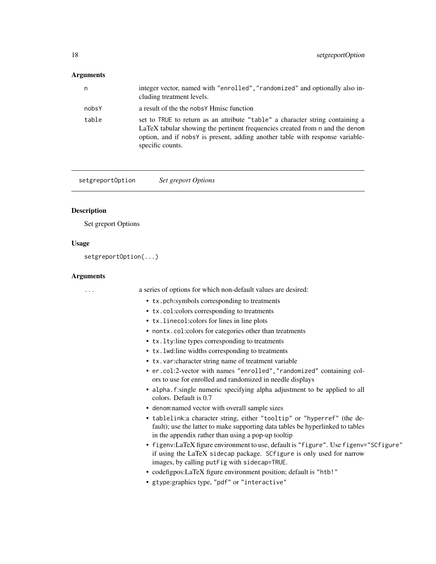## <span id="page-17-0"></span>Arguments

| n     | integer vector, named with "enrolled", "randomized" and optionally also in-<br>cluding treatment levels.                                                                                                                                                           |
|-------|--------------------------------------------------------------------------------------------------------------------------------------------------------------------------------------------------------------------------------------------------------------------|
| nobsY | a result of the the nobsy Hmisc function                                                                                                                                                                                                                           |
| table | set to TRUE to return as an attribute "table" a character string containing a<br>LaTeX tabular showing the pertinent frequencies created from n and the denom<br>option, and if nobsY is present, adding another table with response variable-<br>specific counts. |

setgreportOption *Set greport Options*

# Description

Set greport Options

## Usage

setgreportOption(...)

| a series of options for which non-default values are desired:                                                                                                                                                    |
|------------------------------------------------------------------------------------------------------------------------------------------------------------------------------------------------------------------|
| • tx.pch:symbols corresponding to treatments                                                                                                                                                                     |
| • tx.col:colors corresponding to treatments                                                                                                                                                                      |
| • tx. linecol: colors for lines in line plots                                                                                                                                                                    |
| • nontx.col:colors for categories other than treatments                                                                                                                                                          |
| • tx.1ty:line types corresponding to treatments                                                                                                                                                                  |
| • tx. Lwd: line widths corresponding to treatments                                                                                                                                                               |
| • tx.var: character string name of treatment variable                                                                                                                                                            |
| • er.col:2-vector with names "enrolled", "randomized" containing col-<br>ors to use for enrolled and randomized in needle displays                                                                               |
| • alpha. f:single numeric specifying alpha adjustment to be applied to all<br>colors. Default is 0.7                                                                                                             |
| • denominamed vector with overall sample sizes                                                                                                                                                                   |
| • tablelink: a character string, either "tooltip" or "hyperref" (the de-<br>fault); use the latter to make supporting data tables be hyperlinked to tables<br>in the appendix rather than using a pop-up tooltip |
| • figenv:LaTeX figure environment to use, default is "figure". Use figenv="SCfigure"<br>if using the LaTeX sidecap package. SCfigure is only used for narrow<br>images, by calling putFig with sidecap=TRUE.     |
| • codefigpos: LaTeX figure environment position; default is "htb!"                                                                                                                                               |
| • gtype: graphics type, "pdf" or "interactive"                                                                                                                                                                   |
|                                                                                                                                                                                                                  |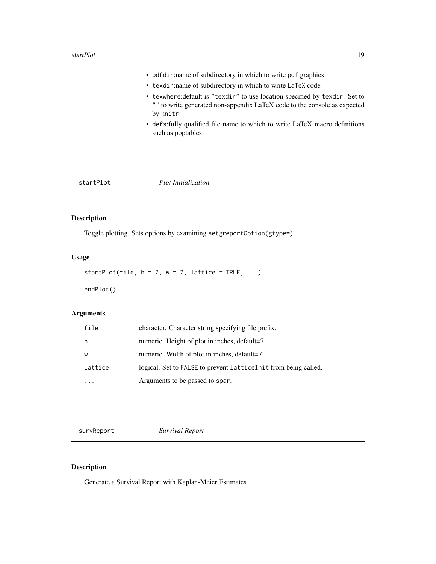<span id="page-18-0"></span>• pdfdir:name of subdirectory in which to write pdf graphics • texdir:name of subdirectory in which to write LaTeX code • texwhere:default is "texdir" to use location specified by texdir. Set to "" to write generated non-appendix LaTeX code to the console as expected by knitr • defs:fully qualified file name to which to write LaTeX macro definitions such as poptables

|--|--|

#### Description

Toggle plotting. Sets options by examining setgreportOption(gtype=).

#### Usage

```
startPlot(file, h = 7, w = 7, lattice = TRUE, ...)
```
endPlot()

#### Arguments

| file    | character. Character string specifying file prefix.              |
|---------|------------------------------------------------------------------|
| h       | numeric. Height of plot in inches, default=7.                    |
| W       | numeric. Width of plot in inches, default=7.                     |
| lattice | logical. Set to FALSE to prevent lattice Init from being called. |
|         | Arguments to be passed to spar.                                  |

survReport *Survival Report*

#### Description

Generate a Survival Report with Kaplan-Meier Estimates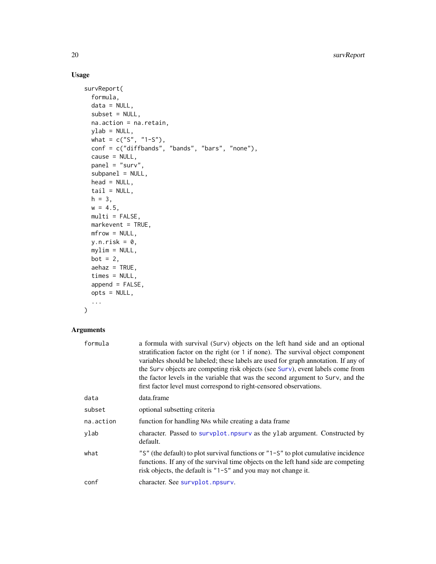### Usage

```
survReport(
 formula,
 data = NULL,
 subset = NULL,na.action = na.retain,
 ylab = NULL,
 what = c("S", "1-S"),
 conf = c("diffbands", "bands", "bars", "none"),
 cause = NULL,
 panel = "surv",
  subpanel = NULL,
 head = NULL,
 tail = NULL,h = 3,
 w = 4.5,
 multi = FALSE,
 markevent = TRUE,
 mfrow = NULL,
 y.n.risk = 0,mylim = NULL,
 bot = 2,
 aehaz = TRUE,times = NULL,
 append = FALSE,
 opts = NULL,
  ...
```
# $\mathcal{L}$

| formula   | a formula with survival (Surv) objects on the left hand side and an optional<br>stratification factor on the right (or 1 if none). The survival object component<br>variables should be labeled; these labels are used for graph annotation. If any of<br>the Surv objects are competing risk objects (see Surv), event labels come from<br>the factor levels in the variable that was the second argument to Surv, and the<br>first factor level must correspond to right-censored observations. |
|-----------|---------------------------------------------------------------------------------------------------------------------------------------------------------------------------------------------------------------------------------------------------------------------------------------------------------------------------------------------------------------------------------------------------------------------------------------------------------------------------------------------------|
| data      | data.frame                                                                                                                                                                                                                                                                                                                                                                                                                                                                                        |
| subset    | optional subsetting criteria                                                                                                                                                                                                                                                                                                                                                                                                                                                                      |
| na.action | function for handling NAs while creating a data frame.                                                                                                                                                                                                                                                                                                                                                                                                                                            |
| ylab      | character. Passed to survplot npsurv as the ylab argument. Constructed by<br>default.                                                                                                                                                                                                                                                                                                                                                                                                             |
| what      | "S" (the default) to plot survival functions or "1-S" to plot cumulative incidence<br>functions. If any of the survival time objects on the left hand side are competing<br>risk objects, the default is $"1-S"$ and you may not change it.                                                                                                                                                                                                                                                       |
| conf      | character. See survplot.npsurv.                                                                                                                                                                                                                                                                                                                                                                                                                                                                   |

<span id="page-19-0"></span>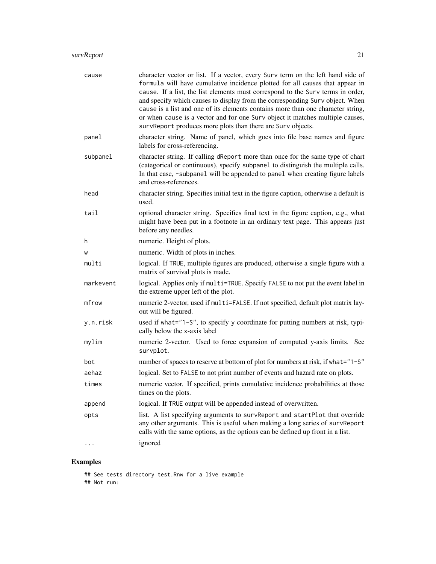| cause     | character vector or list. If a vector, every Surv term on the left hand side of<br>formula will have cumulative incidence plotted for all causes that appear in<br>cause. If a list, the list elements must correspond to the Surv terms in order,<br>and specify which causes to display from the corresponding Surv object. When<br>cause is a list and one of its elements contains more than one character string,<br>or when cause is a vector and for one Surv object it matches multiple causes,<br>survReport produces more plots than there are Surv objects. |
|-----------|------------------------------------------------------------------------------------------------------------------------------------------------------------------------------------------------------------------------------------------------------------------------------------------------------------------------------------------------------------------------------------------------------------------------------------------------------------------------------------------------------------------------------------------------------------------------|
| panel     | character string. Name of panel, which goes into file base names and figure<br>labels for cross-referencing.                                                                                                                                                                                                                                                                                                                                                                                                                                                           |
| subpanel  | character string. If calling dReport more than once for the same type of chart<br>(categorical or continuous), specify subpanel to distinguish the multiple calls.<br>In that case, -subpanel will be appended to panel when creating figure labels<br>and cross-references.                                                                                                                                                                                                                                                                                           |
| head      | character string. Specifies initial text in the figure caption, otherwise a default is<br>used.                                                                                                                                                                                                                                                                                                                                                                                                                                                                        |
| tail      | optional character string. Specifies final text in the figure caption, e.g., what<br>might have been put in a footnote in an ordinary text page. This appears just<br>before any needles.                                                                                                                                                                                                                                                                                                                                                                              |
| h         | numeric. Height of plots.                                                                                                                                                                                                                                                                                                                                                                                                                                                                                                                                              |
| W         | numeric. Width of plots in inches.                                                                                                                                                                                                                                                                                                                                                                                                                                                                                                                                     |
| multi     | logical. If TRUE, multiple figures are produced, otherwise a single figure with a<br>matrix of survival plots is made.                                                                                                                                                                                                                                                                                                                                                                                                                                                 |
| markevent | logical. Applies only if multi=TRUE. Specify FALSE to not put the event label in<br>the extreme upper left of the plot.                                                                                                                                                                                                                                                                                                                                                                                                                                                |
| mfrow     | numeric 2-vector, used if multi=FALSE. If not specified, default plot matrix lay-<br>out will be figured.                                                                                                                                                                                                                                                                                                                                                                                                                                                              |
| y.n.risk  | used if what="1-S", to specify y coordinate for putting numbers at risk, typi-<br>cally below the x-axis label                                                                                                                                                                                                                                                                                                                                                                                                                                                         |
| mylim     | numeric 2-vector. Used to force expansion of computed y-axis limits. See<br>survplot.                                                                                                                                                                                                                                                                                                                                                                                                                                                                                  |
| bot       | number of spaces to reserve at bottom of plot for numbers at risk, if what="1-S"                                                                                                                                                                                                                                                                                                                                                                                                                                                                                       |
| aehaz     | logical. Set to FALSE to not print number of events and hazard rate on plots.                                                                                                                                                                                                                                                                                                                                                                                                                                                                                          |
| times     | numeric vector. If specified, prints cumulative incidence probabilities at those<br>times on the plots.                                                                                                                                                                                                                                                                                                                                                                                                                                                                |
| append    | logical. If TRUE output will be appended instead of overwritten.                                                                                                                                                                                                                                                                                                                                                                                                                                                                                                       |
| opts      | list. A list specifying arguments to survReport and startPlot that override<br>any other arguments. This is useful when making a long series of survReport<br>calls with the same options, as the options can be defined up front in a list.                                                                                                                                                                                                                                                                                                                           |
| $\cdots$  | ignored                                                                                                                                                                                                                                                                                                                                                                                                                                                                                                                                                                |

# Examples

## See tests directory test.Rnw for a live example ## Not run: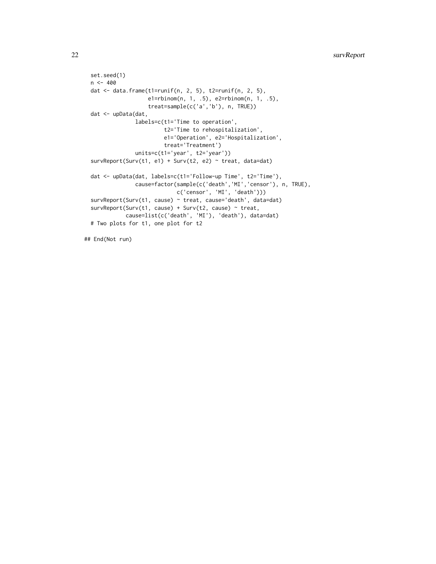```
set.seed(1)
 n < -400dat <- data.frame(t1=runif(n, 2, 5), t2=runif(n, 2, 5),
                   e1=rbinom(n, 1, .5), e2=rbinom(n, 1, .5),
                   treat=sample(c('a','b'), n, TRUE))
 dat <- upData(dat,
               labels=c(t1='Time to operation',
                        t2='Time to rehospitalization',
                        e1='Operation', e2='Hospitalization',
                        treat='Treatment')
                units=c(t1='year', t2='year'))
 survReport(Surv(t1, e1) + Surv(t2, e2) \sim treat, data=dat)
 dat <- upData(dat, labels=c(t1='Follow-up Time', t2='Time'),
                cause=factor(sample(c('death','MI','censor'), n, TRUE),
                            c('censor', 'MI', 'death')))
 survReport(Surv(t1, cause) ~ treat, cause='death', data=dat)
 survReport(Surv(t1, cause) + Surv(t2, cause) ~ treat,
             cause=list(c('death', 'MI'), 'death'), data=dat)
 # Two plots for t1, one plot for t2
## End(Not run)
```